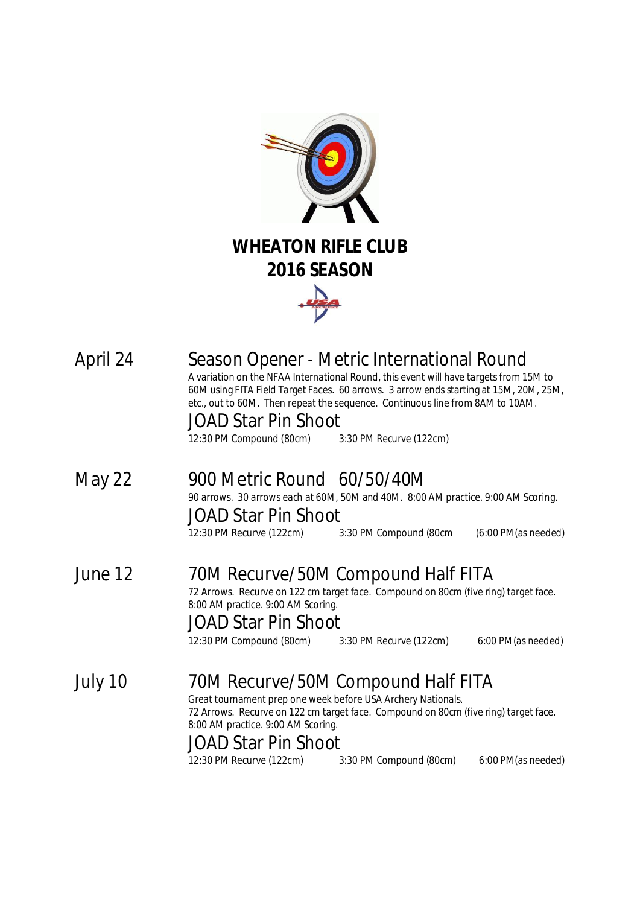

| April 24 | Season Opener - Metric International Round<br>A variation on the NFAA International Round, this event will have targets from 15M to<br>60M using FITA Field Target Faces. 60 arrows. 3 arrow ends starting at 15M, 20M, 25M,<br>etc., out to 60M. Then repeat the sequence. Continuous line from 8AM to 10AM. |                         |                     |  |
|----------|---------------------------------------------------------------------------------------------------------------------------------------------------------------------------------------------------------------------------------------------------------------------------------------------------------------|-------------------------|---------------------|--|
|          | JOAD Star Pin Shoot                                                                                                                                                                                                                                                                                           |                         |                     |  |
|          | 12:30 PM Compound (80cm)                                                                                                                                                                                                                                                                                      | 3:30 PM Recurve (122cm) |                     |  |
| May 22   | 900 Metric Round 60/50/40M                                                                                                                                                                                                                                                                                    |                         |                     |  |
|          | 90 arrows. 30 arrows each at 60M, 50M and 40M. 8:00 AM practice. 9:00 AM Scoring.                                                                                                                                                                                                                             |                         |                     |  |
|          | JOAD Star Pin Shoot                                                                                                                                                                                                                                                                                           |                         |                     |  |
|          | 12:30 PM Recurve (122cm)                                                                                                                                                                                                                                                                                      | 3:30 PM Compound (80cm  | )6:00 PM(as needed) |  |
|          |                                                                                                                                                                                                                                                                                                               |                         |                     |  |
| June 12  | 70M Recurve/50M Compound Half FITA                                                                                                                                                                                                                                                                            |                         |                     |  |
|          | 72 Arrows. Recurve on 122 cm target face. Compound on 80cm (five ring) target face.<br>8:00 AM practice. 9:00 AM Scoring.                                                                                                                                                                                     |                         |                     |  |
|          | <b>JOAD Star Pin Shoot</b>                                                                                                                                                                                                                                                                                    |                         |                     |  |
|          | 12:30 PM Compound (80cm)                                                                                                                                                                                                                                                                                      | 3:30 PM Recurve (122cm) | 6:00 PM(as needed)  |  |
| July 10  | 70M Recurve/50M Compound Half FITA                                                                                                                                                                                                                                                                            |                         |                     |  |
|          | Great tournament prep one week before USA Archery Nationals.<br>72 Arrows. Recurve on 122 cm target face. Compound on 80cm (five ring) target face.<br>8:00 AM practice. 9:00 AM Scoring.                                                                                                                     |                         |                     |  |
|          | JOAD Star Pin Shoot                                                                                                                                                                                                                                                                                           |                         |                     |  |
|          | 12:30 PM Recurve (122cm)                                                                                                                                                                                                                                                                                      | 3:30 PM Compound (80cm) | 6:00 PM(as needed)  |  |
|          |                                                                                                                                                                                                                                                                                                               |                         |                     |  |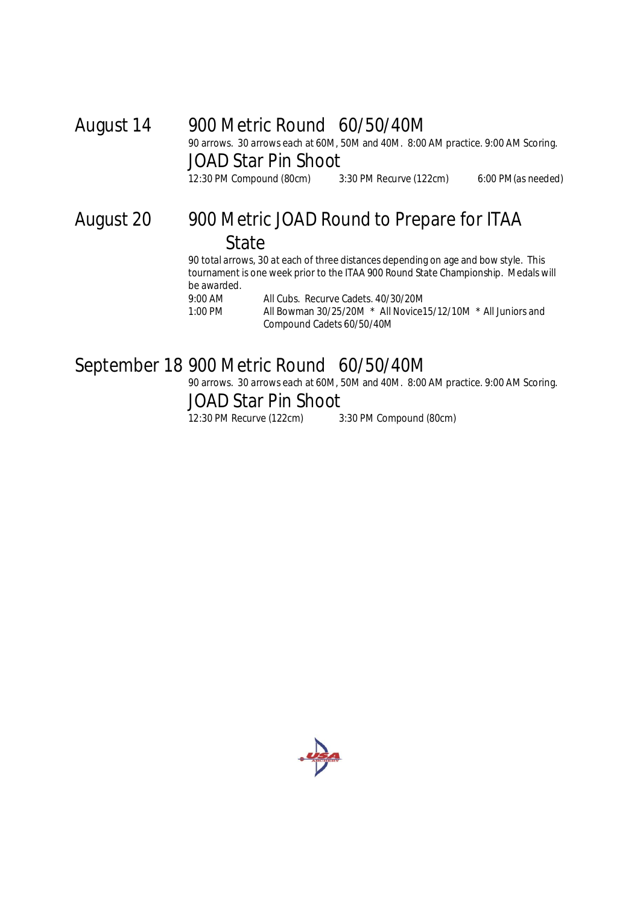## August 14 900 Metric Round 60/50/40M

90 arrows. 30 arrows each at 60M, 50M and 40M. 8:00 AM practice. 9:00 AM Scoring. JOAD Star Pin Shoot

12:30 PM Compound (80cm) 3:30 PM Recurve (122cm) 6:00 PM(as needed)

#### August 20 900 Metric JOAD Round to Prepare for ITAA **State**

90 total arrows, 30 at each of three distances depending on age and bow style. This tournament is one week prior to the ITAA 900 Round State Championship. Medals will be awarded.

9:00 AM All Cubs. Recurve Cadets. 40/30/20M<br>1:00 PM All Bowman 30/25/20M \* All Novice1 All Bowman 30/25/20M \* All Novice15/12/10M \* All Juniors and Compound Cadets 60/50/40M

#### September 18 900 Metric Round 60/50/40M

90 arrows. 30 arrows each at 60M, 50M and 40M. 8:00 AM practice. 9:00 AM Scoring.

# JOAD Star Pin Shoot<br>12:30 PM Recurve (122cm)

3:30 PM Compound (80cm)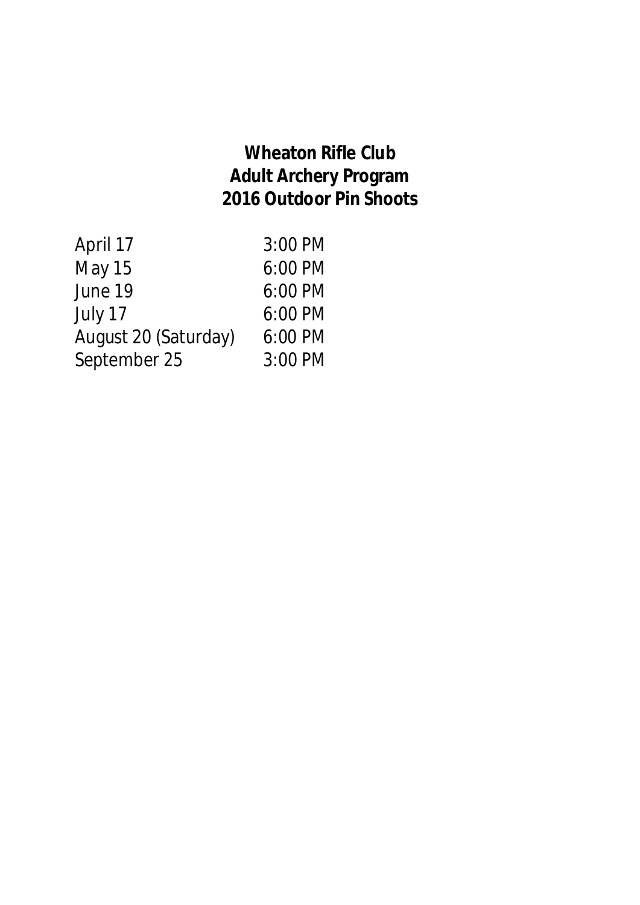### **Wheaton Rifle Club Adult Archery Program 2016 Outdoor Pin Shoots**

| April 17             | 3:00 PM |
|----------------------|---------|
| <b>May 15</b>        | 6:00 PM |
| June 19              | 6:00 PM |
| July 17              | 6:00 PM |
| August 20 (Saturday) | 6:00 PM |
| September 25         | 3:00 PM |